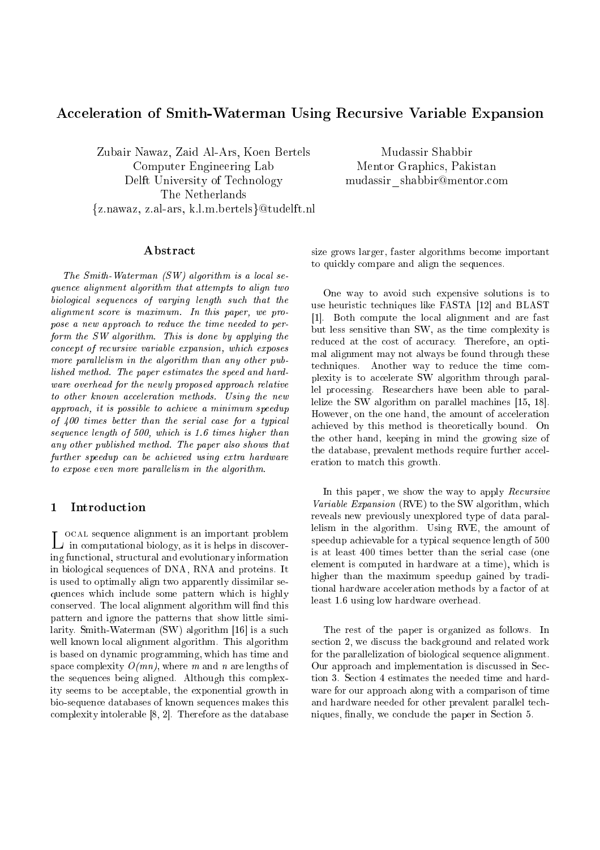# Acceleration of Smith-Waterman Using Recursive Variable Expansion

Zubair Nawaz, Zaid Al-Ars, Koen Bertels Computer Engineering Lab Delft University of Te
hnology The Netherlands  ${z.nawaz, z.al-ars, k.l.m. bertels}@tudelft.nl$ 

Mudassir Shabbir Mentor Graphi
s, Pakistan mudassir shabbir@mentor.com

The Smith-Waterman  $(SW)$  algorithm is a local sequen
e alignment algorithm that attempts to align two biologi
al sequen
es of varying length su
h that the alignment s
ore is maximum. In this paper, we propose a new approach to reduce the time needed to perform the SW algorithm. This is done by applying the on
ept of re
ursive variable expansion, whi
h exposes more parallelism in the algorithm than any other published method. The paper estimates the speed and hardware overhead for the newly proposed approach relative to other known acceleration methods. Using the new approa
h, it is possible to a
hieve a minimum speedup of 400 times better than the serial case for a typical sequence length of 500, which is 1.6 times higher than any other published method. The paper also shows that further speedup can be achieved using extra hardware to expose even more parallelism in the algorithm.

of all sequences are all sequences and all sequences are all sequences are all sequences are all sequences of  $\mathcal{L}$ in omputational biology, as it is helps in dis
overing fun
tional, stru
tural and evolutionary information in biologi
al sequen
es of DNA, RNA and proteins. It is used to optimally align two apparently dissimilar sequen
es whi
h in
lude some pattern whi
h is highly conserved. The local alignment algorithm will find this pattern and ignore the patterns that show little similarity. Smith-Waterman  $(SW)$  algorithm [16] is a such well known lo
al alignment algorithm. This algorithm is based on dynamic programming, which has time and space complexity  $O(mn)$ , where m and n are lengths of the sequen
es being aligned. Although this omplexity seems to be acceptable, the exponential growth in bio-sequen
e databases of known sequen
es makes this complexity intolerable  $[8, 2]$ . Therefore as the database size grows larger, faster algorithms be
ome important to quickly compare and align the sequences.

One way to avoid su
h expensive solutions is to use heuristic techniques like FASTA [12] and BLAST [1]. Both compute the local alignment and are fast but less sensitive than SW, as the time omplexity is reduced at the cost of accuracy. Therefore, an optimal alignment may not always be found through these techniques. Another way to reduce the time complexity is to accelerate SW algorithm through parallel pro
essing. Resear
hers have been able to parallelize the SW algorithm on parallel machines  $[15, 18]$ . However, on the one hand, the amount of acceleration a
hieved by this method is theoreti
ally bound. On the other hand, keeping in mind the growing size of the database, prevalent methods require further acceleration to match this growth.

In this paper, we show the way to apply Recursive Variable Expansion (RVE) to the SW algorithm, whi
h reveals new previously unexplored type of data parallelism in the algorithm. Using RVE, the amount of speedup achievable for a typical sequence length of 500 is at least 400 times better than the serial ase (one element is omputed in hardware at a time), whi
h is higher than the maximum speedup gained by traditional hardware acceleration methods by a factor of at least 1.6 using low hardware overhead.

The rest of the paper is organized as follows. In section 2, we discuss the background and related work for the parallelization of biological sequence alignment. Our approach and implementation is discussed in Section 3. Se
tion 4 estimates the needed time and hardware for our approach along with a comparison of time and hardware needed for other prevalent parallel te
hniques, finally, we conclude the paper in Section 5.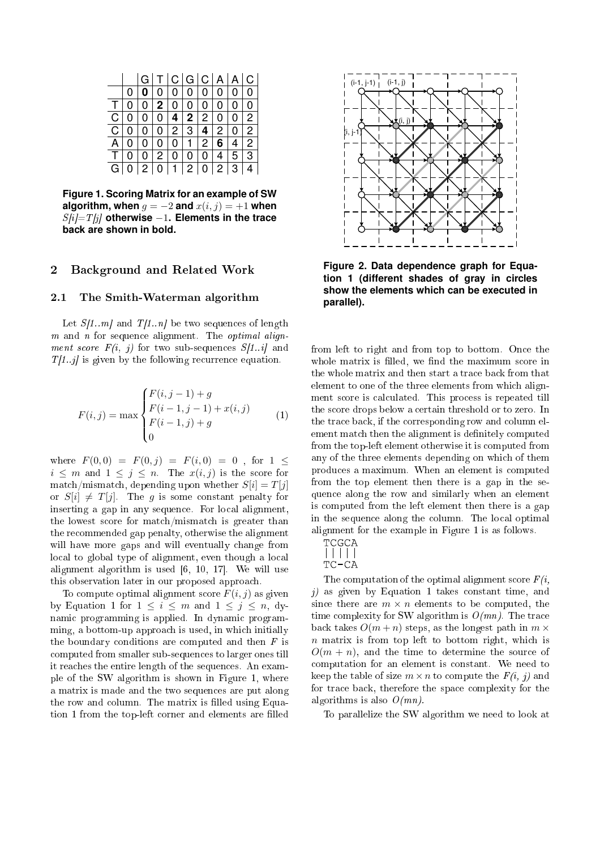|                |                |              | G[T C G C A A C |                |                   |                |                |          |                |
|----------------|----------------|--------------|-----------------|----------------|-------------------|----------------|----------------|----------|----------------|
|                | 0              | 0            | $\overline{0}$  | $\overline{0}$ |                   | 0 0 0          |                | $\Omega$ | l 0            |
| $\mathsf{T}$   | $\overline{0}$ |              | 0 2 0 0 0       |                |                   |                | 0 <sup>1</sup> | $\Omega$ | $\overline{0}$ |
| $\mathsf{C}$   | 0              |              | 0 0 4 2 2 0 0   |                |                   |                |                |          | $\overline{2}$ |
| $\mathsf{C}$   | 0              | 0            | 0 2 3 4 2 0     |                |                   |                |                |          | $\overline{2}$ |
| A              | 0 <sub>1</sub> | 0            |                 |                |                   |                |                | 6 4      | $\overline{2}$ |
| T.             | 0              | 0            | 2               | $\mathbf{0}$   | 0 <sup>1</sup>    | 0 <sup>1</sup> |                | 4 5      | 3              |
| $\overline{G}$ |                | $\mathbf{2}$ | 0               |                | $1 \mid 2 \mid 0$ |                |                | 2 3      |                |

**Figure 1. Scoring Matrix for an example of SW algorithm, when**  $q = -2$  **and**  $x(i, j) = +1$  **when**  $S[i]=T[i]$  otherwise −1. Elements in the trace **back are shown in bold.**

## 2 Ba
kground and Related Work

### 2.1 The Smith-Waterman algorithm

Let  $S[1..m]$  and  $T[1..n]$  be two sequences of length  $m$  and  $n$  for sequence alignment. The *optimal align*ment score  $F(i, j)$  for two sub-sequences  $S[1..i]$  and  $T[1..j]$  is given by the following recurrence equation.

$$
F(i,j) = \max \begin{cases} F(i,j-1) + g \\ F(i-1,j-1) + x(i,j) \\ F(i-1,j) + g \\ 0 \end{cases}
$$
 (1)

where  $F(0,0) = F(0, j) = F(i, 0) = 0$ , for  $1 \leq$  $i \leq m$  and  $1 \leq j \leq n$ . The  $x(i, j)$  is the score for match/mismatch, depending upon whether  $S[i] = T[j]$ or  $S[i] \neq T[j]$ . The g is some constant penalty for inserting a gap in any sequence. For local alignment, the lowest score for match/mismatch is greater than the re
ommended gap penalty, otherwise the alignment will have more gaps and will eventually hange from local to global type of alignment, even though a local alignment algorithm is used  $[6, 10, 17]$ . We will use this observation later in our proposed approa
h.

To compute optimal alignment score  $F(i, j)$  as given by Equation 1 for  $1 \leq i \leq m$  and  $1 \leq j \leq n$ , dynami programming is applied. In dynami programming, a bottom-up approach is used, in which initially the boundary conditions are computed and then  $F$  is omputed from smaller sub-sequen
es to larger ones till it rea
hes the entire length of the sequen
es. An example of the SW algorithm is shown in Figure 1, where a matrix is made and the two sequen
es are put along the row and column. The matrix is filled using Equation 1 from the top-left corner and elements are filled



**Figure 2. Data dependence graph for Equation 1 (different shades of gray in circles show the elements which can be executed in parallel).**

from left to right and from top to bottom. Once the whole matrix is filled, we find the maximum score in the whole matrix and then start a tra
e ba
k from that element to one of the three elements from whi
h alignment s
ore is al
ulated. This pro
ess is repeated till the s
ore drops below a ertain threshold or to zero. In the trace back, if the corresponding row and column element match then the alignment is definitely computed from the top-left element otherwise it is omputed from any of the three elements depending on whi
h of them produ
es a maximum. When an element is omputed from the top element then there is a gap in the sequen
e along the row and similarly when an element is omputed from the left element then there is a gap in the sequence along the column. The local optimal alignment for the example in Figure 1 is as follows.

The computation of the optimal alignment score  $F(i,$  $i$ ) as given by Equation 1 takes constant time, and since there are  $m \times n$  elements to be computed, the time complexity for SW algorithm is  $O(mn)$ . The trace back takes  $O(m+n)$  steps, as the longest path in  $m \times$  $n$  matrix is from top left to bottom right, which is  $O(m + n)$ , and the time to determine the source of omputation for an element is onstant. We need to keep the table of size  $m \times n$  to compute the  $F(i, j)$  and for tra
e ba
k, therefore the spa
e omplexity for the algorithms is also  $O(mn)$ .

To parallelize the SW algorithm we need to look at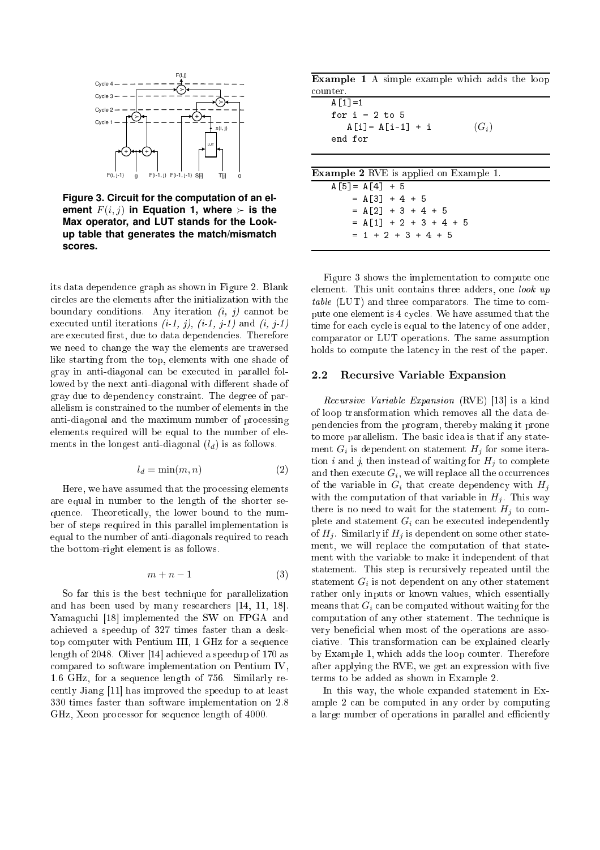

**Figure 3. Circuit for the computation of an element**  $F(i, j)$  **in Equation 1, where**  $\succ$  **is the Max operator, and LUT stands for the Lookup table that generates the match/mismatch scores.**

its data dependen
e graph as shown in Figure 2. Blank ir
les are the elements after the initialization with the boundary conditions. Any iteration  $(i, j)$  cannot be executed until iterations  $(i-1, j)$ ,  $(i-1, j-1)$  and  $(i, j-1)$ are executed first, due to data dependencies. Therefore we need to hange the way the elements are traversed like starting from the top, elements with one shade of gray in anti-diagonal an be exe
uted in parallel followed by the next anti-diagonal with different shade of gray due to dependen
y onstraint. The degree of parallelism is onstrained to the number of elements in the anti-diagonal and the maximum number of pro
essing elements required will be equal to the number of elements in the longest anti-diagonal  $(l_d)$  is as follows.

$$
l_d = \min(m, n) \tag{2}
$$

Here, we have assumed that the pro
essing elements are equal in number to the length of the shorter sequen
e. Theoreti
ally, the lower bound to the number of steps required in this parallel implementation is equal to the number of anti-diagonals required to rea
h the bottom-right element is as follows.

$$
m+n-1 \tag{3}
$$

So far this is the best te
hnique for parallelization and has been used by many researchers  $[14, 11, 18]$ . Yamaguchi [18] implemented the SW on FPGA and a
hieved a speedup of 327 times faster than a desktop omputer with Pentium III, 1 GHz for a sequen
e length of 2048. Oliver [14] achieved a speedup of 170 as ompared to software implementation on Pentium IV, 1.6 GHz, for a sequen
e length of 756. Similarly re cently Jiang [11] has improved the speedup to at least 330 times faster than software implementation on 2.8 GHz. Xeon processor for sequence length of 4000.

| <b>Example 1</b> A simple example which adds the loop |  |  |  |  |
|-------------------------------------------------------|--|--|--|--|
| counter.                                              |  |  |  |  |

| $A \lceil 1 \rceil = 1$ |         |
|-------------------------|---------|
| for $i = 2$ to 5        |         |
| $A[i] = A[i-1] + i$     | $(G_i)$ |
| end for                 |         |

| <b>Example 2</b> RVE is applied on Example 1. |
|-----------------------------------------------|
| $A[5] = A[4] + 5$                             |
| $= A[3] + 4 + 5$                              |
| $= A[2] + 3 + 4 + 5$                          |
| $= A[1] + 2 + 3 + 4 + 5$                      |
| $= 1 + 2 + 3 + 4 + 5$                         |
|                                               |

Figure 3 shows the implementation to ompute one element. This unit contains three adders, one look up table (LUT) and three comparators. The time to compute one element is 4 cycles. We have assumed that the time for each cycle is equal to the latency of one adder, omparator or LUT operations. The same assumption holds to compute the latency in the rest of the paper.

## 2.2 Recursive Variable Expansion

Recursive Variable Expansion (RVE) [13] is a kind of loop transformation whi
h removes all the data dependen
ies from the program, thereby making it prone to more parallelism. The basic idea is that if any statement  $G_i$  is dependent on statement  $H_j$  for some iteration *i* and *j*, then instead of waiting for  $H_i$  to complete and then execute  $G_i,$  we will replace all the occurrences of the variable in  $G_i$  that create dependency with  $H_i$ with the computation of that variable in  $H_j$ . This way there is no need to wait for the statement  $H_i$  to complete and statement  $G_i$  can be executed independently of  $H_i$ . Similarly if  $H_i$  is dependent on some other statement, we will repla
e the omputation of that statement with the variable to make it independent of that statement. This step is recursively repeated until the statement  $G_i$  is not dependent on any other statement rather only inputs or known values, whi
h essentially means that  $G_i$  can be computed without waiting for the omputation of any other statement. The te
hnique is very beneficial when most of the operations are associative. This transformation can be explained clearly by Example 1, whi
h adds the loop ounter. Therefore after applying the RVE, we get an expression with five terms to be added as shown in Example 2.

In this way, the whole expanded statement in Example 2 an be omputed in any order by omputing a large number of operations in parallel and efficiently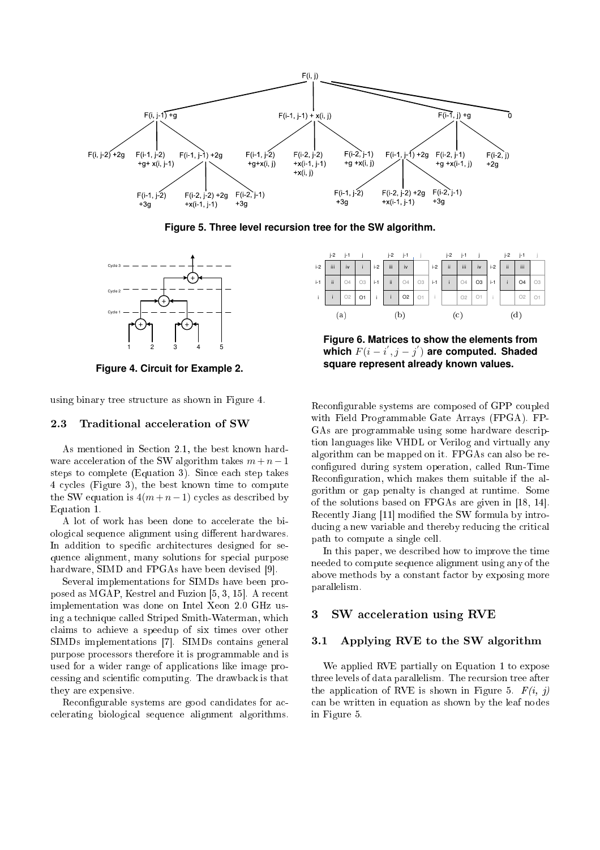

**Figure 5. Three level recursion tree for the SW algorithm.**



**Figure 4. Circuit for Example 2.**

using binary tree stru
ture as shown in Figure 4.

#### 2.3 Traditional acceleration of SW

As mentioned in Section 2.1, the best known hardware acceleration of the SW algorithm takes  $m + n - 1$ steps to omplete (Equation 3). Sin
e ea
h step takes 4 cycles (Figure 3), the best known time to compute the SW equation is  $4(m+n-1)$  cycles as described by Equation 1.

A lot of work has been done to accelerate the biological sequence alignment using different hardwares. In addition to specific architectures designed for sequence alignment, many solutions for special purpose hardware, SIMD and FPGAs have been devised [9].

Several implementations for SIMDs have been proposed as MGAP, Kestrel and Fuzion  $[5, 3, 15]$ . A recent implementation was done on Intel Xeon 2.0 GHz using a te
hnique alled Striped Smith-Waterman, whi
h claims to achieve a speedup of six times over other SIMDs implementations [7]. SIMDs contains general purpose pro
essors therefore it is programmable and is used for a wider range of appli
ations like image pro cessing and scientific computing. The drawback is that they are expensive.

Reconfigurable systems are good candidates for acelerating biologi
al sequen
e alignment algorithms.



**Figure 6. Matrices to show the elements from** which  $F(i - i^{'}, j - j^{'})$  are computed. Shaded **square represent already known values.**

Reconfigurable systems are composed of GPP coupled with Field Programmable Gate Arrays (FPGA). FP-GAs are programmable using some hardware description languages like VHDL or Verilog and virtually any algorithm an be mapped on it. FPGAs an also be re configured during system operation, called Run-Time Reconfiguration, which makes them suitable if the algorithm or gap penalty is hanged at runtime. Some of the solutions based on FPGAs are given in  $[18, 14]$ . Recently Jiang [11] modified the SW formula by introducing a new variable and thereby reducing the critical path to ompute a single ell.

In this paper, we des
ribed how to improve the time needed to ompute sequen
e alignment using any of the above methods by a constant factor by exposing more parallelism.

#### 3 SW acceleration using RVE

### 3.1 Applying RVE to the SW algorithm

We applied RVE partially on Equation 1 to expose three levels of data parallelism. The recursion tree after the application of RVE is shown in Figure 5.  $F(i, j)$ an be written in equation as shown by the leaf nodes in Figure 5.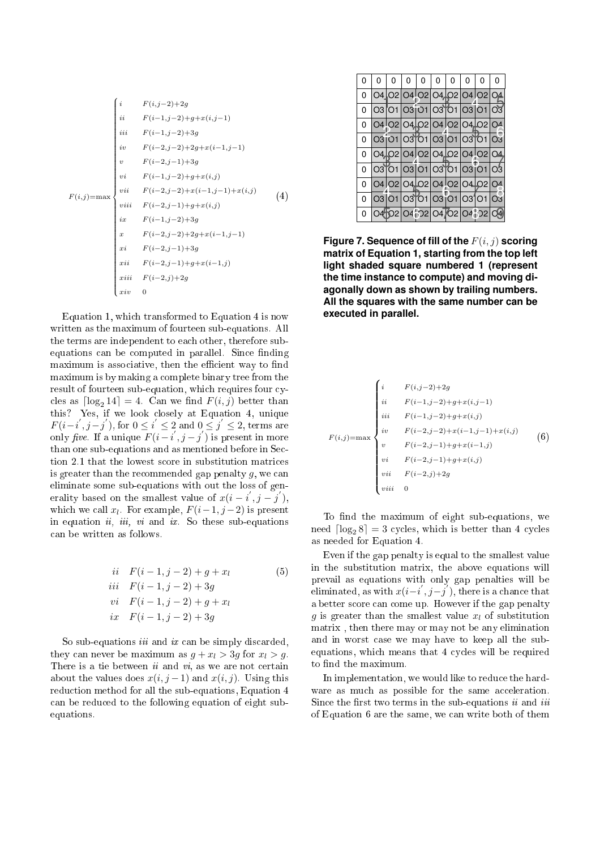$$
F(i,j) = \max \begin{cases} i & F(i,j-2)+2g \\ ii & F(i-1,j-2)+g+x(i,j-1) \\ iii & F(i-1,j-2)+3g \\ iv & F(i-2,j-2)+2g+x(i-1,j-1) \\ v & F(i-2,j-1)+3g \\ vi & F(i-2,j-1)+3g \\ vi & F(i-2,j-2)+x(i,j-1)+x(i,j) \\ viii & F(i-2,j-1)+g+x(i,j) \\ ivii & F(i-2,j-1)+g+x(i,j) \\ ix & F(i-2,j-2)+2g+x(i-1,j-1) \\ xii & F(i-2,j-1)+3g \\ xii & F(i-2,j-1)+g+x(i-1,j) \\ xiii & F(i-2,j)+2g \\ xiv & 0 \end{cases} (4)
$$

Equation 1, whi
h transformed to Equation 4 is now written as the maximum of fourteen sub-equations. All the terms are independent to ea
h other, therefore subequations can be computed in parallel. Since finding maximum is associative, then the efficient way to find maximum is by making a omplete binary tree from the result of fourteen sub-equation, which requires four cycles as  $\lceil \log_2 14 \rceil = 4$ . Can we find  $F(i, j)$  better than F(i–i', j–j'), for  $0 \le i' \le 2$  and  $0 \le j' \le 2$ , terms are only five. If a unique  $F(i-i', j-j')$  is present in more than one sub-equations and as mentioned before in Se
 tion 2.1 that the lowest s
ore in substitution matri
es is greater than the recommended gap penalty  $q$ , we can eliminate some sub-equations with out the loss of gen-′ ′ erality based on the smallest value of  $x(i - i, j - j)$ , which we call  $x_l$ . For example,  $F(i-1, j-2)$  is present in equation  $ii, iii, vi$  and  $ix$ . So these sub-equations an be written as follows.

$$
\begin{aligned}\n\text{ii} \quad & F(i-1,j-2) + g + x_i \\
\text{iii} \quad & F(i-1,j-2) + 3g \\
\text{vi} \quad & F(i-1,j-2) + g + x_i \\
\text{ix} \quad & F(i-1,j-2) + 3g\n\end{aligned} \tag{5}
$$

So sub-equations *iii* and *ix* can be simply discarded, they can never be maximum as  $g + x_l > 3g$  for  $x_l > g$ . There is a tie between  $ii$  and  $vi$ , as we are not certain about the values does  $x(i, j - 1)$  and  $x(i, j)$ . Using this reduction method for all the sub-equations, Equation 4 an be redu
ed to the following equation of eight subequations.

| 0 | 0 | 0 |  | 0 0 0 0                    | $\overline{0}$ | $\Omega$ | 0 | 0 |
|---|---|---|--|----------------------------|----------------|----------|---|---|
| 0 |   |   |  | 04 02 04 02 04 02 04 02 04 |                |          |   |   |
| 0 |   |   |  | 03 01 03 01 03 01 03 01 03 |                |          |   |   |
| 0 |   |   |  | 04 02 04 02 04 02 04 02 04 |                |          |   |   |
| 0 |   |   |  | 03 01 03 01 03 01 03 01 03 |                |          |   |   |
| 0 |   |   |  | 04 02 04 02 04 02 04 02 04 |                |          |   |   |
| 0 |   |   |  | O3 O1 O3 O1 O3 O1 O3 O1 O3 |                |          |   |   |
| 0 |   |   |  | 04 02 04 02 04 02 04 02 04 |                |          |   |   |
| 0 |   |   |  | 03 01 03 01 03 01 03 01 03 |                |          |   |   |
| 0 |   |   |  | 04502 04 02 04 02 04 02    |                |          |   |   |

**Figure 7. Sequence of fill of the**  $F(i, j)$  **scoring matrix of Equation 1, starting from the top left light shaded square numbered 1 (represent the time instance to compute) and moving diagonally down as shown by trailing numbers. All the squares with the same number can be executed in parallel.**

$$
F(i,j) = \max \begin{cases} i & F(i,j-2)+2g \\ ii & F(i-1,j-2)+g+x(i,j-1) \\ iii & F(i-1,j-2)+g+x(i,j) \\ iv & F(i-2,j-2)+x(i-1,j-1)+x(i,j) \\ v & F(i-2,j-1)+g+x(i-1,j) \\ vi & F(i-2,j-1)+g+x(i,j) \\ vi & F(i-2,j)+2g \\ viii & 0 \end{cases} (6)
$$

To find the maximum of eight sub-equations, we need  $\lceil \log_2 8 \rceil = 3$  cycles, which is better than 4 cycles as needed for Equation 4.

Even if the gap penalty is equal to the smallest value in the substitution matrix, the above equations will prevail as equations with only gap penalties will be eliminated, as with  $x(i-i',j-j')$ , there is a chance that a better s
ore an ome up. However if the gap penalty g is greater than the smallest value  $x_l$  of substitution matrix , then there may or may not be any elimination and in worst ase we may have to keep all the subequations, which means that 4 cycles will be required to find the maximum.

In implementation, we would like to redu
e the hardware as much as possible for the same acceleration. Since the first two terms in the sub-equations  $ii$  and  $iii$ of Equation 6 are the same, we an write both of them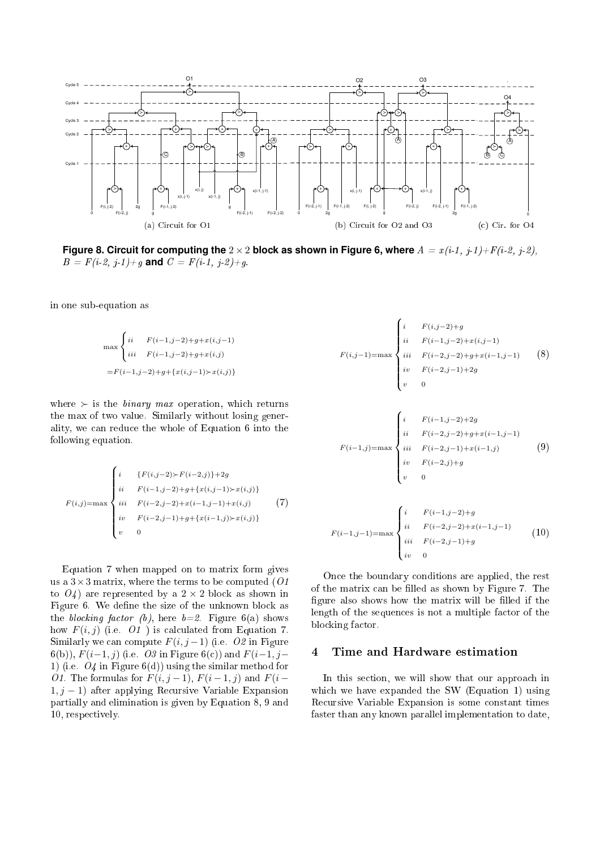

**Figure 8. Circuit for computing the**  $2 \times 2$  block as shown in Figure 6, where  $A = x(i-1, j-1)+F(i-2, j-2)$ ,  $B = F(i-2, j-1)+g$  and  $C = F(i-1, j-2)+g$ .

in one sub-equation as

$$
\max \begin{cases} ii & F(i-1,j-2)+g+x(i,j-1) \\ iii & F(i-1,j-2)+g+x(i,j) \\ \end{cases}
$$
  
=  $F(i-1,j-2)+g+\{x(i,j-1)\}x(i,j)$ 

where  $\succ$  is the *binary max* operation, which returns the max of two value. Similarly without losing generality, we an redu
e the whole of Equation 6 into the following equation.

$$
F(i,j) = \max \begin{cases} i & \{F(i,j-2) \succ F(i-2,j)\} + 2g \\ ii & F(i-1,j-2) + g + \{x(i,j-1) \succ x(i,j)\} \\ iii & F(i-2,j-2) + x(i-1,j-1) + x(i,j) \\ iv & F(i-2,j-1) + g + \{x(i-1,j) \succ x(i,j)\} \\ v & 0 \end{cases}
$$
(7)

Equation 7 when mapped on to matrix form gives us a  $3 \times 3$  matrix, where the terms to be computed (O1) to  $O(4)$  are represented by a  $2 \times 2$  block as shown in Figure 6. We define the size of the unknown block as the blocking factor (b), here  $b=2$ . Figure 6(a) shows how  $F(i, j)$  (i.e.  $O1$ ) is calculated from Equation 7. Similarly we can compute  $F(i, j-1)$  (i.e. O2 in Figure 6(b)),  $F(i-1, j)$  (i.e. O3 in Figure 6(c)) and  $F(i-1, j-$ 1) (i.e.  $O_4$  in Figure 6(d)) using the similar method for O1. The formulas for  $F(i, j-1)$ ,  $F(i-1, j)$  and  $F(i-$ 1,  $j - 1$ ) after applying Recursive Variable Expansion partially and elimination is given by Equation 8, 9 and 10, respe
tively.

$$
F(i,j-1) = \max \begin{cases} i & F(i,j-2)+g \\ ii & F(i-1,j-2)+x(i,j-1) \\ iii & F(i-2,j-2)+g+x(i-1,j-1) \\ iv & F(i-2,j-1)+2g \\ v & 0 \end{cases}
$$
(8)  

$$
F(i-1,j) = \max \begin{cases} i & F(i-1,j-2)+2g \\ ii & F(i-2,j-2)+g+x(i-1,j-1) \\ iii & F(i-2,j-1)+x(i-1,j) \\ iv & F(i-2,j)+g \\ v & 0 \end{cases}
$$
(9)  

$$
F(i-1,j-1) = \max \begin{cases} i & F(i-1,j-2)+g \\ ii & F(i-2,j-2)+x(i-1,j-1) \\ ii & F(i-2,j-2)+x(i-1,j-1) \\ iii & F(i-2,j-1)+g \\ iv & 0 \end{cases}
$$
(10)

On
e the boundary onditions are applied, the rest of the matrix can be filled as shown by Figure 7. The figure also shows how the matrix will be filled if the length of the sequences is not a multiple factor of the blocking factor.

#### Time and Hardware estimation  $\overline{4}$

In this se
tion, we will show that our approa
h in which we have expanded the SW (Equation 1) using Recursive Variable Expansion is some constant times faster than any known parallel implementation to date,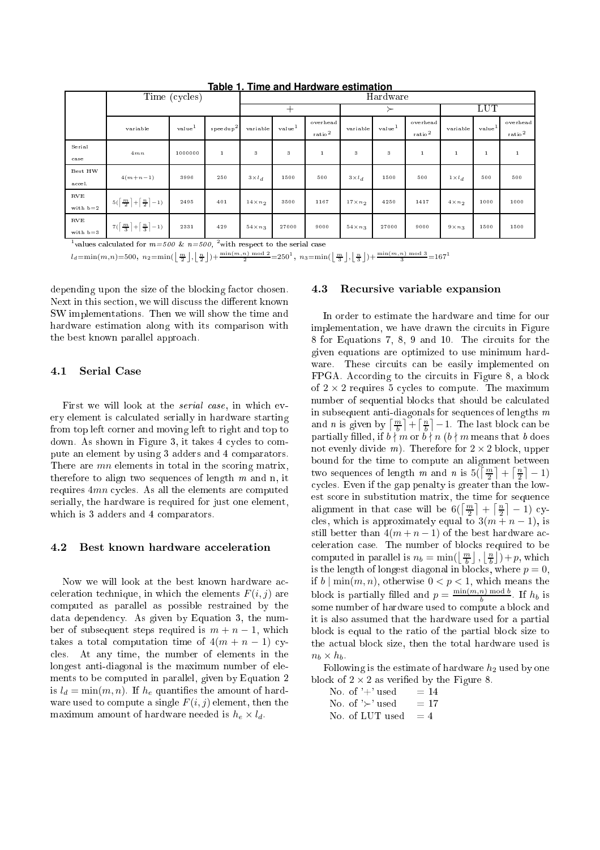|                            | Time (cycles)                                                                               |                    |                    | Hardware        |                    |                                         |                 |                    |                                  |                |                    |                                  |
|----------------------------|---------------------------------------------------------------------------------------------|--------------------|--------------------|-----------------|--------------------|-----------------------------------------|-----------------|--------------------|----------------------------------|----------------|--------------------|----------------------------------|
|                            |                                                                                             |                    |                    |                 |                    |                                         |                 |                    |                                  | LUT            |                    |                                  |
|                            | variable                                                                                    | value <sup>1</sup> | $\text{speedup}^2$ | variable        | value <sup>1</sup> | overhead<br>$_{\rm ratio}$ <sup>2</sup> | variable        | value <sup>1</sup> | overhead<br>$_{\rm ratio}{}^{2}$ | variable       | value <sup>1</sup> | overhead<br>$_{\rm ratio}{}^{2}$ |
| Serial<br>case             | 4mn                                                                                         | 1000000            | $\,1$              | 3               | 3                  |                                         | 3               | 3                  |                                  |                |                    |                                  |
| Best HW<br>accel.          | $4(m+n-1)$                                                                                  | 3996               | 250                | $3 \times l_d$  | 1500               | 500                                     | $3 \times l_d$  | 1500               | 500                              | $1 \times l_d$ | 500                | 500                              |
| $_{\rm RVE}$<br>with $b=2$ | $5\left(\left\lceil\frac{m}{2}\right\rceil + \left\lceil\frac{n}{2}\right\rceil - 1\right)$ | 2495               | 401                | $14 \times n_2$ | 3500               | 1167                                    | $17 \times n_2$ | 4250               | 1417                             | $4 \times n_2$ | 1000               | 1000                             |
| RVE<br>with $b=3$          | $7(\left\lceil\frac{m}{3}\right\rceil + \left\lceil\frac{n}{3}\right\rceil - 1)$            | 2331               | 429                | $54 \times n_3$ | 27000              | 9000                                    | $54 \times n_3$ | 27000              | 9000                             | $9 \times n_3$ | 1500               | 1500                             |

**Table 1. Time and Hardware estimation**

<sup>1</sup>values calculated for  $m=500$  &  $n=500$ . <sup>2</sup>with respect to the serial case

 $l_d\!=\!\min(m,n)\!=\!500,\ n_2\!=\!\min(\left\lfloor\frac{m}{2}\right\rfloor,\left\lfloor\frac{n}{2}\right\rfloor)+\frac{\min(m,n)\bmod 2}{2}\!=\!250^1,\ n_3\!=\!\min(\left\lfloor\frac{m}{3}\right\rfloor,\left\lfloor\frac{n}{3}\right\rfloor)+\frac{\min(m,n)\bmod 3}{3}\!=\!167^1$ 

depending upon the size of the blocking factor chosen. Next in this section, we will discuss the different known SW implementations. Then we will show the time and hardware estimation along with its omparison with the best known parallel approa
h.

## 4.1 Serial Case

First we will look at the *serial case*, in which every element is al
ulated serially in hardware starting from top left orner and moving left to right and top to down. As shown in Figure 3, it takes 4 cycles to compute an element by using 3 adders and 4 omparators. There are *mn* elements in total in the scoring matrix, therefore to align two sequences of length  $m$  and  $n$ , it requires  $4mn$  cycles. As all the elements are computed serially, the hardware is required for just one element, which is 3 adders and 4 comparators.

### 4.2 Best known hardware acceleration

Now we will look at the best known hardware acceleration technique, in which the elements  $F(i, j)$  are omputed as parallel as possible restrained by the data dependen
y. As given by Equation 3, the number of subsequent steps required is  $m + n - 1$ , which takes a total computation time of  $4(m + n - 1)$  cyles. At any time, the number of elements in the longest anti-diagonal is the maximum number of elements to be omputed in parallel, given by Equation 2 is  $l_d = \min(m, n)$ . If  $h_e$  quantifies the amount of hardware used to compute a single  $F(i, j)$  element, then the maximum amount of hardware needed is  $h_e \times l_d$ .

#### 4.3 Recursive variable expansion

In order to estimate the hardware and time for our implementation, we have drawn the circuits in Figure 8 for Equations 7, 8, 9 and 10. The circuits for the given equations are optimized to use minimum hardware. These circuits can be easily implemented on FPGA. According to the circuits in Figure 8, a block of  $2 \times 2$  requires 5 cycles to compute. The maximum number of sequential blocks that should be calculated in subsequent anti-diagonals for sequences of lengths  $m$ and *n* is given by  $\left\lceil \frac{m}{b} \right\rceil + \left\lceil \frac{n}{b} \right\rceil - 1$ . The last block can be partially filled, if  $b \nmid m$  or  $b \nmid n$  ( $b \nmid m$  means that b does not evenly divide m). Therefore for  $2 \times 2$  block, upper bound for the time to ompute an alignment between two sequences of length m and n is  $5(\left\lceil \frac{m}{2} \right\rceil + \left\lceil \frac{n}{2} \right\rceil - 1)$ cycles. Even if the gap penalty is greater than the lowest s
ore in substitution matrix, the time for sequen
e alignment in that case will be  $6(\left\lceil \frac{m}{2} \right\rceil + \left\lceil \frac{n}{2} \right\rceil - 1)$  cycles, which is approximately equal to  $3(m + n - 1)$ , is still better than  $4(m + n - 1)$  of the best hardware aceleration ase. The number of blo
ks required to be computed in parallel is  $n_b = \min(\left\lfloor \frac{m}{b} \right\rfloor, \left\lfloor \frac{n}{b} \right\rfloor) + p$ , which is the length of longest diagonal in blocks, where  $p = 0$ , if  $b \mid \min(m, n)$ , otherwise  $0 < p < 1$ , which means the block is partially filled and  $p = \frac{\min(m,n) \mod b}{b}$  $\frac{h}{b}$  mod  $\theta$ . If  $h_b$  is some number of hardware used to compute a block and it is also assumed that the hardware used for a partial blo
k is equal to the ratio of the partial blo
k size to the actual block size, then the total hardware used is  $n_b \times h_b$ .

Following is the estimate of hardware  $h_2$  used by one block of  $2 \times 2$  as verified by the Figure 8.

No. of  $'+$  used  $= 14$ No. of ' $\succ$ ' used = 17 No. of LUT used  $=4$